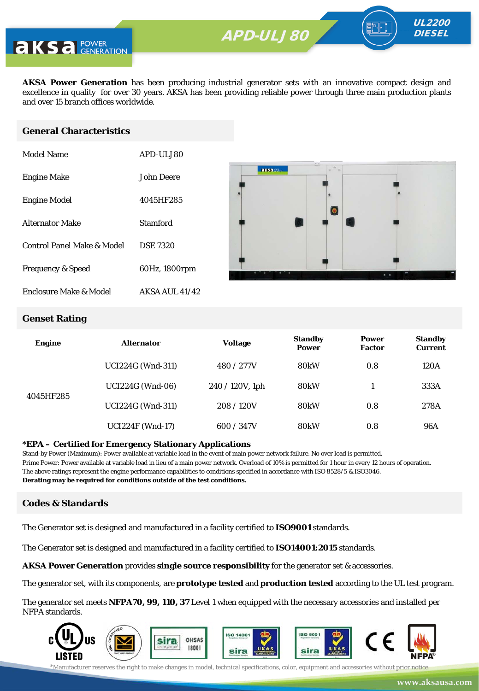**APD-ULV350** APD-ULJ80



**AKSA Power Generation** has been producing industrial generator sets with an innovative compact design and excellence in quality for over 30 years. AKSA has been providing reliable power through three main production plants and over 15 branch offices worldwide.

#### **General Characteristics**

| Model Name                   | APD-ULJ80       |
|------------------------------|-----------------|
| <b>Engine Make</b>           | John Deere      |
| <b>Engine Model</b>          | 4045HF285       |
| <b>Alternator Make</b>       | Stamford        |
| Control Panel Make & Model   | <b>DSE 7320</b> |
| <b>Frequency &amp; Speed</b> | 60Hz, 1800rpm   |
| Enclosure Make & Model       | AKSA AUL 41/42  |



UL2200 **DIESEL** 

#### **Genset Rating**

| <b>Engine</b> | <b>Alternator</b>        | <b>Voltage</b>     | <b>Standby</b><br><b>Power</b> | <b>Power</b><br><b>Factor</b> | <b>Standby</b><br><b>Current</b> |
|---------------|--------------------------|--------------------|--------------------------------|-------------------------------|----------------------------------|
|               | <b>UCI224G (Wnd-311)</b> | 480 / 277V         | 80 <sub>k</sub> W              | 0.8                           | 120A                             |
|               | <b>UCI224G</b> (Wnd-06)  | $240 / 120V$ , 1ph | 80 <sub>k</sub> W              |                               | 333A                             |
| 4045HF285     | <b>UCI224G (Wnd-311)</b> | 208/120V           | 80 <sub>k</sub> W              | 0.8                           | 278A                             |
|               | <b>UCI224F (Wnd-17)</b>  | 600 / 347V         | <b>80kW</b>                    | 0.8                           | <b>96A</b>                       |

#### **\*EPA – Certified for Emergency Stationary Applications**

Stand-by Power (Maximum): Power available at variable load in the event of main power network failure. No over load is permitted. Prime Power: Power available at variable load in lieu of a main power network. Overload of 10% is permitted for 1 hour in every 12 hours of operation. The above ratings represent the engine performance capabilities to conditions specified in accordance with ISO 8528/5 & ISO3046. **Derating may be required for conditions outside of the test conditions.**

#### **Codes & Standards**

The Generator set is designed and manufactured in a facility certified to **ISO9001** standards.

The Generator set is designed and manufactured in a facility certified to **ISO14001:2015** standards.

**AKSA Power Generation** provides **single source responsibility** for the generator set & accessories.

The generator set, with its components, are **prototype tested** and **production tested** according to the UL test program.

The generator set meets **NFPA70, 99, 110, 37** Level 1 when equipped with the necessary accessories and installed per NFPA standards.

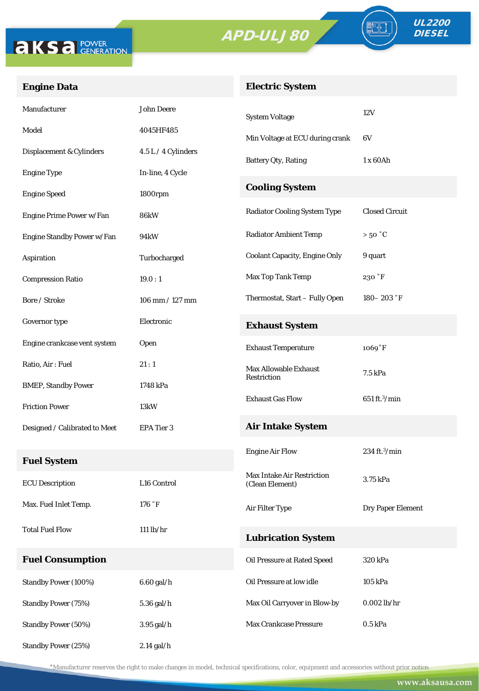



FO

### **Engine Data**

#### **Electric System**

| Manufacturer                  | <b>John Deere</b>   | <b>System Voltage</b>                | 12V                              |  |
|-------------------------------|---------------------|--------------------------------------|----------------------------------|--|
| Model                         | 4045HF485           | Min Voltage at ECU during crank      | 6V                               |  |
| Displacement & Cylinders      | 4.5 L / 4 Cylinders | <b>Battery Qty, Rating</b>           | 1 x 60Ah                         |  |
| <b>Engine Type</b>            | In-line, 4 Cycle    |                                      |                                  |  |
| <b>Engine Speed</b>           | 1800rpm             | <b>Cooling System</b>                |                                  |  |
| Engine Prime Power w/Fan      | <b>86kW</b>         | <b>Radiator Cooling System Type</b>  | <b>Closed Circuit</b>            |  |
| Engine Standby Power w/Fan    | 94kW                | <b>Radiator Ambient Temp</b>         | $>50\degree C$                   |  |
| Aspiration                    | Turbocharged        | <b>Coolant Capacity, Engine Only</b> | 9 quart                          |  |
| <b>Compression Ratio</b>      | 19.0:1              | Max Top Tank Temp                    | 230 °F                           |  |
| Bore / Stroke                 | 106 mm / 127 mm     | Thermostat, Start - Fully Open       | 180 - 203 °F                     |  |
| Governor type                 | Electronic          | <b>Exhaust System</b>                |                                  |  |
| Engine crankcase vent system  | Open                | <b>Exhaust Temperature</b>           | 1069°F                           |  |
| Ratio, Air: Fuel              | 21:1                | <b>Max Allowable Exhaust</b>         | 7.5 kPa                          |  |
| <b>BMEP, Standby Power</b>    | 1748 kPa            | Restriction                          |                                  |  |
| <b>Friction Power</b>         | 13kW                | <b>Exhaust Gas Flow</b>              | $651 \text{ ft.}^{3}/\text{min}$ |  |
| Designed / Calibrated to Meet | EPA Tier 3          | <b>Air Intake System</b>             |                                  |  |
|                               |                     | <b>Engine Air Flow</b>               | $234$ ft. $^3$ /min              |  |
| <b>Fuel System</b>            |                     | <b>Max Intake Air Restriction</b>    |                                  |  |
| <b>ECU</b> Description        | L16 Control         | (Clean Element)                      | 3.75 kPa                         |  |
| Max. Fuel Inlet Temp.         | 176 °F              | Air Filter Type                      | Dry Paper Element                |  |
| <b>Total Fuel Flow</b>        | $111$ lb/hr         | <b>Lubrication System</b>            |                                  |  |
| <b>Fuel Consumption</b>       |                     | Oil Pressure at Rated Speed          | 320 kPa                          |  |
| <b>Standby Power (100%)</b>   | $6.60$ gal/h        | Oil Pressure at low idle             | 105 kPa                          |  |
| <b>Standby Power (75%)</b>    | 5.36 gal/h          | Max Oil Carryover in Blow-by         | $0.002$ lb/hr                    |  |
| <b>Standby Power (50%)</b>    | 3.95 gal/h          | Max Crankcase Pressure               | $0.5$ kPa                        |  |
| <b>Standby Power (25%)</b>    | $2.14$ gal/h        |                                      |                                  |  |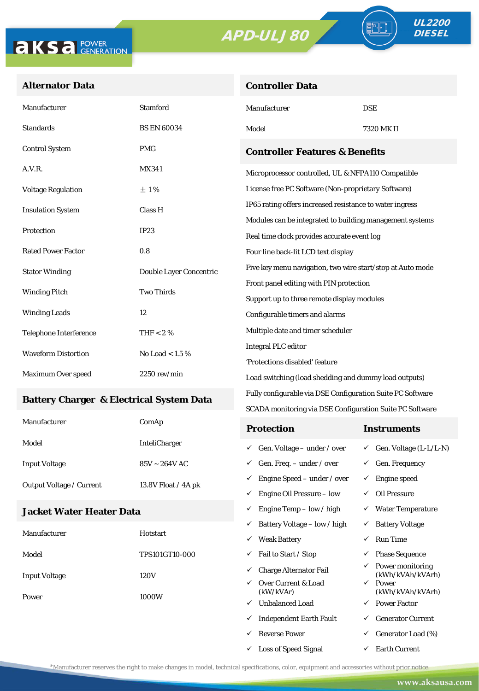



TE

#### **Alternator Data**

| <b>Controller Data</b> |  |
|------------------------|--|

| Manufacturer                                        | Stamford                | Manufacturer                                                                                            | <b>DSE</b>                                                              |  |
|-----------------------------------------------------|-------------------------|---------------------------------------------------------------------------------------------------------|-------------------------------------------------------------------------|--|
| Standards                                           | <b>BS EN 60034</b>      | Model                                                                                                   | 7320 MK II                                                              |  |
| <b>Control System</b>                               | <b>PMG</b>              | <b>Controller Features &amp; Benefits</b>                                                               |                                                                         |  |
| A.V.R.                                              | <b>MX341</b>            | Microprocessor controlled, UL & NFPA110 Compatible                                                      |                                                                         |  |
| <b>Voltage Regulation</b>                           | ±1%                     | License free PC Software (Non-proprietary Software)                                                     |                                                                         |  |
| <b>Insulation System</b>                            | Class H                 | IP65 rating offers increased resistance to water ingress                                                |                                                                         |  |
| Protection                                          | IP23                    | Modules can be integrated to building management systems<br>Real time clock provides accurate event log |                                                                         |  |
| <b>Rated Power Factor</b>                           | 0.8                     | Four line back-lit LCD text display                                                                     |                                                                         |  |
| <b>Stator Winding</b>                               | Double Layer Concentric | Five key menu navigation, two wire start/stop at Auto mode                                              |                                                                         |  |
| <b>Winding Pitch</b>                                | <b>Two Thirds</b>       | Front panel editing with PIN protection                                                                 |                                                                         |  |
|                                                     |                         | Support up to three remote display modules                                                              |                                                                         |  |
| <b>Winding Leads</b>                                | 12                      | Configurable timers and alarms                                                                          |                                                                         |  |
| Telephone Interference                              | THF $< 2 \%$            | Multiple date and timer scheduler                                                                       |                                                                         |  |
| <b>Waveform Distortion</b>                          | No Load < $1.5\%$       | <b>Integral PLC editor</b>                                                                              |                                                                         |  |
| Maximum Over speed                                  | $2250$ rev/min          | 'Protections disabled' feature                                                                          |                                                                         |  |
|                                                     |                         | Load switching (load shedding and dummy load outputs)                                                   |                                                                         |  |
| <b>Battery Charger &amp; Electrical System Data</b> |                         | Fully configurable via DSE Configuration Suite PC Software                                              |                                                                         |  |
|                                                     |                         | SCADA monitoring via DSE Configuration Suite PC Software                                                |                                                                         |  |
| Manufacturer                                        | ComAp                   | <b>Protection</b>                                                                                       | <b>Instruments</b>                                                      |  |
| Model                                               | <b>InteliCharger</b>    | $\checkmark$ Gen. Voltage – under / over                                                                | $\checkmark$ Gen. Voltage (L-L/L-N)                                     |  |
| <b>Input Voltage</b>                                | $85V \sim 264V$ AC      | $\checkmark$ Gen. Freq. - under / over                                                                  | $\checkmark$ Gen. Frequency                                             |  |
| Output Voltage / Current                            | 13.8V Float / 4A pk     | $\checkmark$ Engine Speed – under / over                                                                | $\checkmark$ Engine speed                                               |  |
|                                                     |                         | $\checkmark$ Engine Oil Pressure – low                                                                  | $\checkmark$ Oil Pressure                                               |  |
| Jacket Water Heater Data                            |                         | $\checkmark$ Engine Temp – low / high                                                                   | $\checkmark$ Water Temperature                                          |  |
|                                                     |                         | $\checkmark$ Battery Voltage – low / high                                                               | $\checkmark$ Battery Voltage                                            |  |
| Manufacturer                                        | Hotstart                | <b>Weak Battery</b>                                                                                     | <b>Run Time</b><br>✓                                                    |  |
| Model                                               | TPS101GT10-000          | Fail to Start / Stop<br>✓                                                                               | $\checkmark$ Phase Sequence                                             |  |
| <b>Input Voltage</b>                                | 120V                    | <b>Charge Alternator Fail</b><br>✓<br>Over Current & Load                                               | $\checkmark$ Power monitoring<br>(kWh/kVAh/kVArh)<br>$\checkmark$ Power |  |
|                                                     |                         | (kW/kVAr)                                                                                               | (kWh/kVAh/kVArh)                                                        |  |

- $\checkmark$  Unbalanced Load  $\checkmark$  Power Factor
- $\checkmark$  Independent Earth Fault  $\checkmark$  Generator Current
- $\begin{array}{ccc} \checkmark & \text{Generator Load} \ (\%) \end{array}$
- $\checkmark$  Loss of Speed Signal  $\checkmark$  Earth Current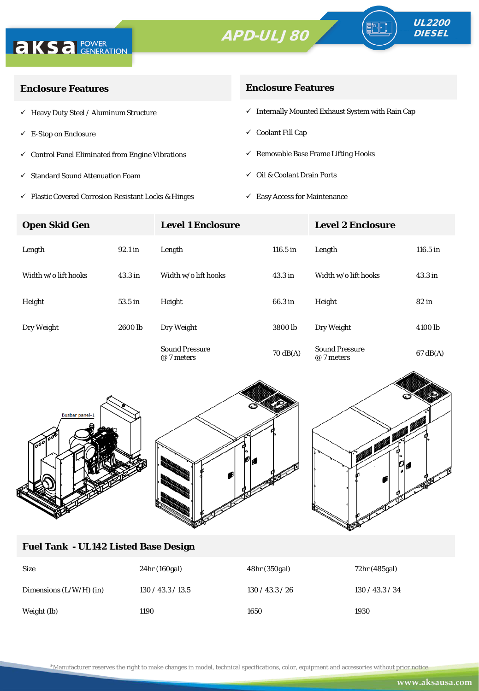



| <b>Enclosure Features</b>                                    | <b>Enclosure Features</b>                                    |  |  |
|--------------------------------------------------------------|--------------------------------------------------------------|--|--|
| $\checkmark$ Heavy Duty Steel / Aluminum Structure           | $\checkmark$ Internally Mounted Exhaust System with Rain Cap |  |  |
| $\checkmark$ E-Stop on Enclosure                             | $\checkmark$ Coolant Fill Cap                                |  |  |
| $\checkmark$ Control Panel Eliminated from Engine Vibrations | $\checkmark$ Removable Base Frame Lifting Hooks              |  |  |
| ✓ Standard Sound Attenuation Foam                            | $\checkmark$ Oil & Coolant Drain Ports                       |  |  |
|                                                              |                                                              |  |  |

 $\checkmark$ Plastic Covered Corrosion Resistant Locks & Hinges

 $\checkmark~$  Easy Access for Maintenance

| <b>Open Skid Gen</b> |                    | <b>Level 1 Enclosure</b>            |                    | <b>Level 2 Enclosure</b>            |                    |
|----------------------|--------------------|-------------------------------------|--------------------|-------------------------------------|--------------------|
| Length               | 92.1 in            | Length                              | 116.5 in           | Length                              | $116.5$ in         |
| Width w/o lift hooks | 43.3 <sub>in</sub> | Width w/o lift hooks                | 43.3 <sub>in</sub> | Width w/o lift hooks                | 43.3 <sub>in</sub> |
| Height               | 53.5 in            | Height                              | 66.3 in            | Height                              | $82$ in            |
| Dry Weight           | 2600 lb            | Dry Weight                          | 3800 <sub>lb</sub> | Dry Weight                          | 4100 lb            |
|                      |                    | <b>Sound Pressure</b><br>@ 7 meters | $70 \text{ dB(A)}$ | <b>Sound Pressure</b><br>@ 7 meters | $67 \text{ dB}(A)$ |





#### **Fuel Tank - UL142 Listed Base Design**

| <b>Size</b>               | 24hr (160gal)     | 48hr (350gal)   | 72hr (485gal)   |
|---------------------------|-------------------|-----------------|-----------------|
| Dimensions $(L/W/H)$ (in) | 130 / 43.3 / 13.5 | 130 / 43.3 / 26 | 130 / 43.3 / 34 |
| Weight (lb)               | 1190              | 1650            | 1930            |